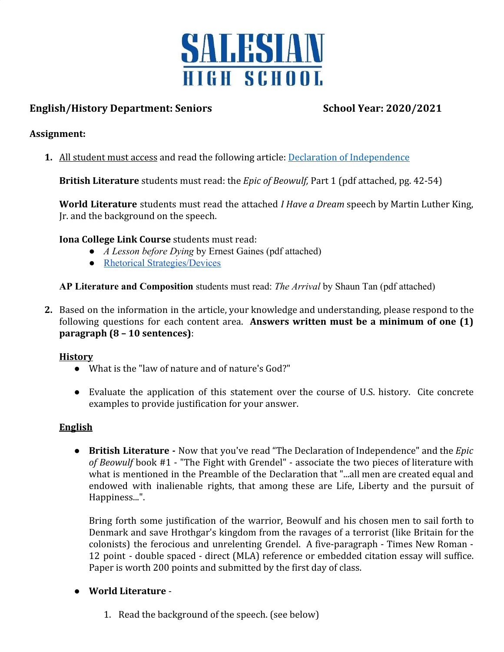

# **English/History Department: Seniors School Year: 2020/2021**

### **Assignment:**

**1.** All student must access and read the following article: [Declaration of Independence](https://www.constitution.org/us_doi.pdf)

**British Literature** students must read: the *Epic of Beowulf,* Part 1 (pdf attached, pg. 42-54)

**World Literature** students must read the attached *I Have a Dream* speech by Martin Luther King, Jr. and the background on the speech.

**Iona College Link Course** students must read:

- *A Lesson before Dying* by Ernest Gaines (pdf attached)
- [Rhetorical Strategies/Devices](http://home.miracosta.edu/dperales/NEWRhetorical%20Strategies.htm)

**AP Literature and Composition** students must read: *The Arrival* by Shaun Tan (pdf attached)

**2.** Based on the information in the article, your knowledge and understanding, please respond to the following questions for each content area. **Answers written must be a minimum of one (1) paragraph (8 – 10 sentences)**:

#### **History**

- **●** What is the "law of nature and of nature's God?"
- **●** Evaluate the application of this statement over the course of U.S. history. Cite concrete examples to provide justification for your answer.

#### **English**

● **British Literature -** Now that you've read "The Declaration of Independence" and the *Epic of Beowulf* book #1 - "The Fight with Grendel" - associate the two pieces of literature with what is mentioned in the Preamble of the Declaration that "...all men are created equal and endowed with inalienable rights, that among these are Life, Liberty and the pursuit of Happiness...".

Bring forth some justification of the warrior, Beowulf and his chosen men to sail forth to Denmark and save Hrothgar's kingdom from the ravages of a terrorist (like Britain for the colonists) the ferocious and unrelenting Grendel. A five-paragraph - Times New Roman - 12 point - double spaced - direct (MLA) reference or embedded citation essay will suffice. Paper is worth 200 points and submitted by the first day of class.

#### ● **World Literature** -

1. Read the background of the speech. (see below)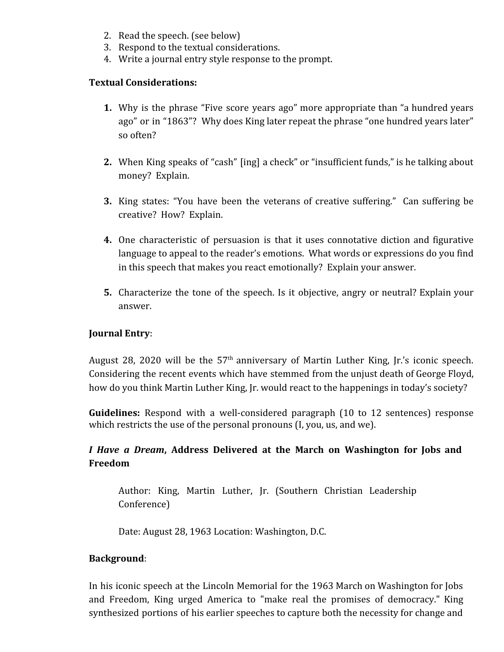- 2. Read the speech. (see below)
- 3. Respond to the textual considerations.
- 4. Write a journal entry style response to the prompt.

#### **Textual Considerations:**

- **1.** Why is the phrase "Five score years ago" more appropriate than "a hundred years ago" or in "1863"? Why does King later repeat the phrase "one hundred years later" so often?
- **2.** When King speaks of "cash" [ing] a check" or "insufficient funds," is he talking about money? Explain.
- **3.** King states: "You have been the veterans of creative suffering." Can suffering be creative? How? Explain.
- **4.** One characteristic of persuasion is that it uses connotative diction and figurative language to appeal to the reader's emotions. What words or expressions do you find in this speech that makes you react emotionally? Explain your answer.
- **5.** Characterize the tone of the speech. Is it objective, angry or neutral? Explain your answer.

### **Journal Entry**:

August 28, 2020 will be the  $57<sup>th</sup>$  anniversary of Martin Luther King, Jr.'s iconic speech. Considering the recent events which have stemmed from the unjust death of George Floyd, how do you think Martin Luther King, Jr. would react to the happenings in today's society?

**Guidelines:** Respond with a well-considered paragraph (10 to 12 sentences) response which restricts the use of the personal pronouns (I, you, us, and we).

# *I Have a Dream***, Address Delivered at the March on Washington for Jobs and Freedom**

Author: King, Martin Luther, Jr. (Southern Christian Leadership Conference)

Date: August 28, 1963 Location: Washington, D.C.

#### **Background**:

In his iconic speech at the Lincoln Memorial for the 1963 March on Washington for Jobs and Freedom, King urged America to "make real the promises of democracy." King synthesized portions of his earlier speeches to capture both the necessity for change and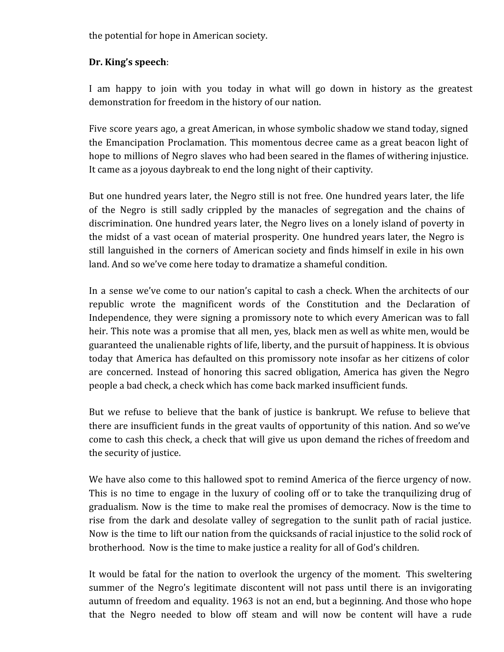the potential for hope in American society.

### **Dr. King's speech**:

I am happy to join with you today in what will go down in history as the greatest demonstration for freedom in the history of our nation.

Five score years ago, a great American, in whose symbolic shadow we stand today, signed the Emancipation Proclamation. This momentous decree came as a great beacon light of hope to millions of Negro slaves who had been seared in the flames of withering injustice. It came as a joyous daybreak to end the long night of their captivity.

But one hundred years later, the Negro still is not free. One hundred years later, the life of the Negro is still sadly crippled by the manacles of segregation and the chains of discrimination. One hundred years later, the Negro lives on a lonely island of poverty in the midst of a vast ocean of material prosperity. One hundred years later, the Negro is still languished in the corners of American society and finds himself in exile in his own land. And so we've come here today to dramatize a shameful condition.

In a sense we've come to our nation's capital to cash a check. When the architects of our republic wrote the magnificent words of the Constitution and the Declaration of Independence, they were signing a promissory note to which every American was to fall heir. This note was a promise that all men, yes, black men as well as white men, would be guaranteed the unalienable rights of life, liberty, and the pursuit of happiness. It is obvious today that America has defaulted on this promissory note insofar as her citizens of color are concerned. Instead of honoring this sacred obligation, America has given the Negro people a bad check, a check which has come back marked insufficient funds.

But we refuse to believe that the bank of justice is bankrupt. We refuse to believe that there are insufficient funds in the great vaults of opportunity of this nation. And so we've come to cash this check, a check that will give us upon demand the riches of freedom and the security of justice.

We have also come to this hallowed spot to remind America of the fierce urgency of now. This is no time to engage in the luxury of cooling off or to take the tranquilizing drug of gradualism. Now is the time to make real the promises of democracy. Now is the time to rise from the dark and desolate valley of segregation to the sunlit path of racial justice. Now is the time to lift our nation from the quicksands of racial injustice to the solid rock of brotherhood. Now is the time to make justice a reality for all of God's children.

It would be fatal for the nation to overlook the urgency of the moment. This sweltering summer of the Negro's legitimate discontent will not pass until there is an invigorating autumn of freedom and equality. 1963 is not an end, but a beginning. And those who hope that the Negro needed to blow off steam and will now be content will have a rude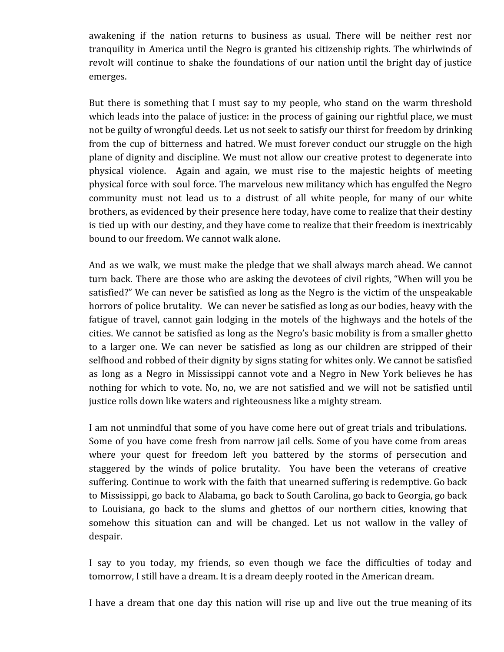awakening if the nation returns to business as usual. There will be neither rest nor tranquility in America until the Negro is granted his citizenship rights. The whirlwinds of revolt will continue to shake the foundations of our nation until the bright day of justice emerges.

But there is something that I must say to my people, who stand on the warm threshold which leads into the palace of justice: in the process of gaining our rightful place, we must not be guilty of wrongful deeds. Let us not seek to satisfy our thirst for freedom by drinking from the cup of bitterness and hatred. We must forever conduct our struggle on the high plane of dignity and discipline. We must not allow our creative protest to degenerate into physical violence. Again and again, we must rise to the majestic heights of meeting physical force with soul force. The marvelous new militancy which has engulfed the Negro community must not lead us to a distrust of all white people, for many of our white brothers, as evidenced by their presence here today, have come to realize that their destiny is tied up with our destiny, and they have come to realize that their freedom is inextricably bound to our freedom. We cannot walk alone.

And as we walk, we must make the pledge that we shall always march ahead. We cannot turn back. There are those who are asking the devotees of civil rights, "When will you be satisfied?" We can never be satisfied as long as the Negro is the victim of the unspeakable horrors of police brutality. We can never be satisfied as long as our bodies, heavy with the fatigue of travel, cannot gain lodging in the motels of the highways and the hotels of the cities. We cannot be satisfied as long as the Negro's basic mobility is from a smaller ghetto to a larger one. We can never be satisfied as long as our children are stripped of their selfhood and robbed of their dignity by signs stating for whites only. We cannot be satisfied as long as a Negro in Mississippi cannot vote and a Negro in New York believes he has nothing for which to vote. No, no, we are not satisfied and we will not be satisfied until justice rolls down like waters and righteousness like a mighty stream.

I am not unmindful that some of you have come here out of great trials and tribulations. Some of you have come fresh from narrow jail cells. Some of you have come from areas where your quest for freedom left you battered by the storms of persecution and staggered by the winds of police brutality. You have been the veterans of creative suffering. Continue to work with the faith that unearned suffering is redemptive. Go back to Mississippi, go back to Alabama, go back to South Carolina, go back to Georgia, go back to Louisiana, go back to the slums and ghettos of our northern cities, knowing that somehow this situation can and will be changed. Let us not wallow in the valley of despair.

I say to you today, my friends, so even though we face the difficulties of today and tomorrow, I still have a dream. It is a dream deeply rooted in the American dream.

I have a dream that one day this nation will rise up and live out the true meaning of its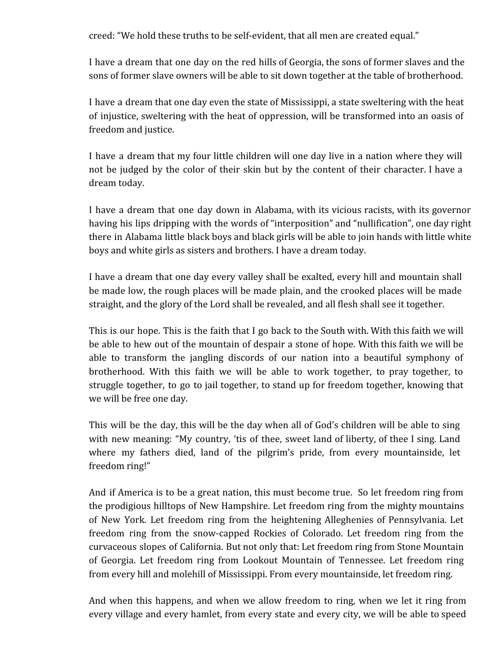creed: "We hold these truths to be self-evident, that all men are created equal."

I have a dream that one day on the red hills of Georgia, the sons of former slaves and the sons of former slave owners will be able to sit down together at the table of brotherhood.

I have a dream that one day even the state of Mississippi, a state sweltering with the heat of injustice, sweltering with the heat of oppression, will be transformed into an oasis of freedom and justice.

I have a dream that my four little children will one day live in a nation where they will not be judged by the color of their skin but by the content of their character. I have a dream today.

I have a dream that one day down in Alabama, with its vicious racists, with its governor having his lips dripping with the words of "interposition" and "nullification", one day right there in Alabama little black boys and black girls will be able to join hands with little white boys and white girls as sisters and brothers. I have a dream today.

I have a dream that one day every valley shall be exalted, every hill and mountain shall be made low, the rough places will be made plain, and the crooked places will be made straight, and the glory of the Lord shall be revealed, and all flesh shall see it together.

This is our hope. This is the faith that I go back to the South with. With this faith we will be able to hew out of the mountain of despair a stone of hope. With this faith we will be able to transform the jangling discords of our nation into a beautiful symphony of brotherhood. With this faith we will be able to work together, to pray together, to struggle together, to go to jail together, to stand up for freedom together, knowing that we will be free one day.

This will be the day, this will be the day when all of God's children will be able to sing with new meaning: "My country, 'tis of thee, sweet land of liberty, of thee I sing. Land where my fathers died, land of the pilgrim's pride, from every mountainside, let freedom ring!"

And if America is to be a great nation, this must become true. So let freedom ring from the prodigious hilltops of New Hampshire. Let freedom ring from the mighty mountains of New York. Let freedom ring from the heightening Alleghenies of Pennsylvania. Let freedom ring from the snow-capped Rockies of Colorado. Let freedom ring from the curvaceous slopes of California. But not only that: Let freedom ring from Stone Mountain of Georgia. Let freedom ring from Lookout Mountain of Tennessee. Let freedom ring from every hill and molehill of Mississippi. From every mountainside, let freedom ring.

And when this happens, and when we allow freedom to ring, when we let it ring from every village and every hamlet, from every state and every city, we will be able to speed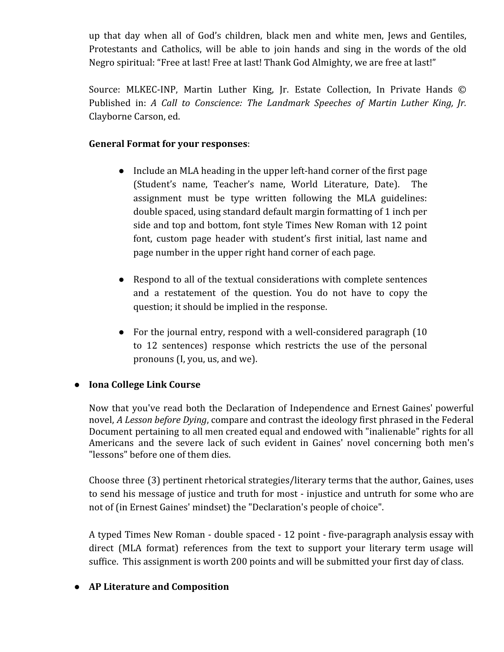up that day when all of God's children, black men and white men, Jews and Gentiles, Protestants and Catholics, will be able to join hands and sing in the words of the old Negro spiritual: "Free at last! Free at last! Thank God Almighty, we are free at last!"

Source: MLKEC-INP, Martin Luther King, Jr. Estate Collection, In Private Hands © Published in: *A Call to Conscience: The Landmark Speeches of Martin Luther King, Jr.* Clayborne Carson, ed.

### **General Format for your responses**:

- Include an MLA heading in the upper left-hand corner of the first page (Student's name, Teacher's name, World Literature, Date). The assignment must be type written following the MLA guidelines: double spaced, using standard default margin formatting of 1 inch per side and top and bottom, font style Times New Roman with 12 point font, custom page header with student's first initial, last name and page number in the upper right hand corner of each page.
- Respond to all of the textual considerations with complete sentences and a restatement of the question. You do not have to copy the question; it should be implied in the response.
- For the journal entry, respond with a well-considered paragraph (10 to 12 sentences) response which restricts the use of the personal pronouns (I, you, us, and we).

### **● Iona College Link Course**

Now that you've read both the Declaration of Independence and Ernest Gaines' powerful novel, *A Lesson before Dying*, compare and contrast the ideology first phrased in the Federal Document pertaining to all men created equal and endowed with "inalienable" rights for all Americans and the severe lack of such evident in Gaines' novel concerning both men's "lessons" before one of them dies.

Choose three (3) pertinent rhetorical strategies/literary terms that the author, Gaines, uses to send his message of justice and truth for most - injustice and untruth for some who are not of (in Ernest Gaines' mindset) the "Declaration's people of choice".

A typed Times New Roman - double spaced - 12 point - five-paragraph analysis essay with direct (MLA format) references from the text to support your literary term usage will suffice. This assignment is worth 200 points and will be submitted your first day of class.

## ● **AP Literature and Composition**